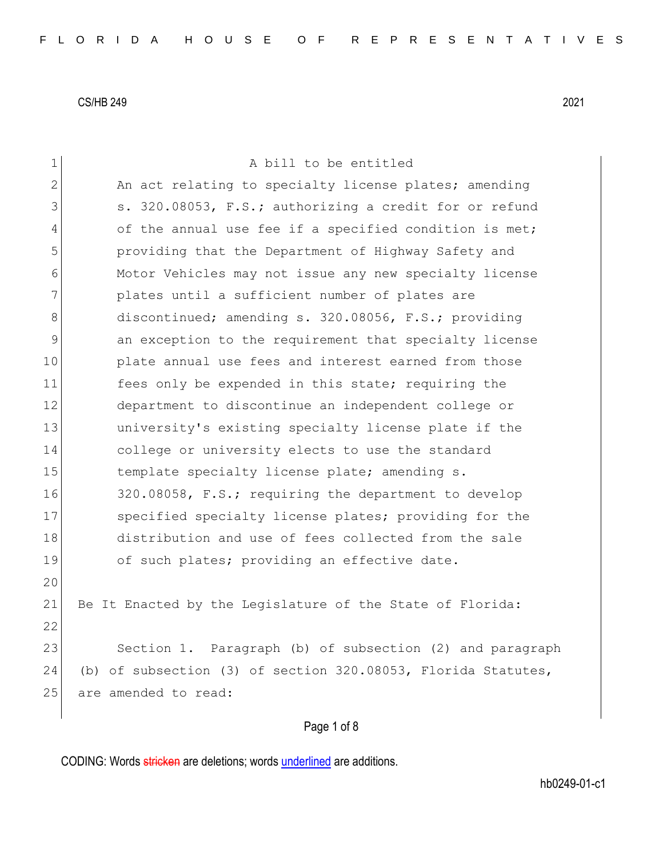| $\mathbf 1$  | A bill to be entitled                                            |
|--------------|------------------------------------------------------------------|
| $\mathbf{2}$ | An act relating to specialty license plates; amending            |
| 3            | s. 320.08053, F.S.; authorizing a credit for or refund           |
| 4            | of the annual use fee if a specified condition is met;           |
| 5            | providing that the Department of Highway Safety and              |
| 6            | Motor Vehicles may not issue any new specialty license           |
| 7            | plates until a sufficient number of plates are                   |
| 8            | discontinued; amending s. 320.08056, F.S.; providing             |
| 9            | an exception to the requirement that specialty license           |
| 10           | plate annual use fees and interest earned from those             |
| 11           | fees only be expended in this state; requiring the               |
| 12           | department to discontinue an independent college or              |
| 13           | university's existing specialty license plate if the             |
| 14           | college or university elects to use the standard                 |
| 15           | template specialty license plate; amending s.                    |
| 16           | 320.08058, F.S.; requiring the department to develop             |
| 17           | specified specialty license plates; providing for the            |
| 18           | distribution and use of fees collected from the sale             |
| 19           | of such plates; providing an effective date.                     |
| 20           |                                                                  |
| 21           | Be It Enacted by the Legislature of the State of Florida:        |
| 22           |                                                                  |
| 23           | Section 1. Paragraph (b) of subsection (2) and paragraph         |
| 24           | (b) of subsection (3) of section $320.08053$ , Florida Statutes, |
| 25           | are amended to read:                                             |
|              | Page 1 of 8                                                      |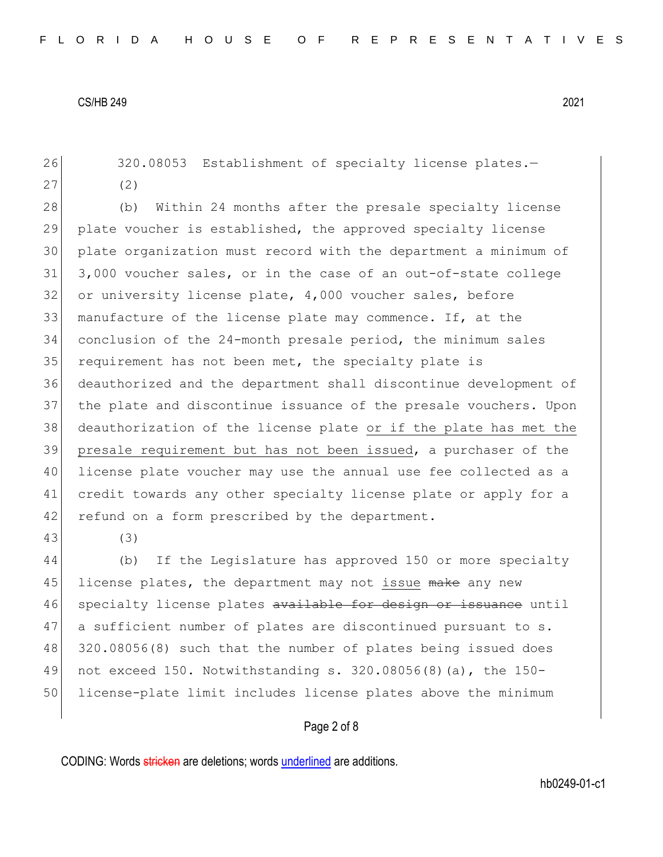26 320.08053 Establishment of specialty license plates.-27 (2)

28 (b) Within 24 months after the presale specialty license plate voucher is established, the approved specialty license plate organization must record with the department a minimum of 3,000 voucher sales, or in the case of an out-of-state college 32 or university license plate, 4,000 voucher sales, before manufacture of the license plate may commence. If, at the conclusion of the 24-month presale period, the minimum sales requirement has not been met, the specialty plate is deauthorized and the department shall discontinue development of the plate and discontinue issuance of the presale vouchers. Upon deauthorization of the license plate or if the plate has met the presale requirement but has not been issued, a purchaser of the license plate voucher may use the annual use fee collected as a credit towards any other specialty license plate or apply for a 42 refund on a form prescribed by the department.

43 (3)

44 (b) If the Legislature has approved 150 or more specialty 45 license plates, the department may not issue make any new 46 specialty license plates available for design or issuance until 47 a sufficient number of plates are discontinued pursuant to s. 48 320.08056(8) such that the number of plates being issued does 49 not exceed 150. Notwithstanding s. 320.08056(8)(a), the 150- 50 license-plate limit includes license plates above the minimum

### Page 2 of 8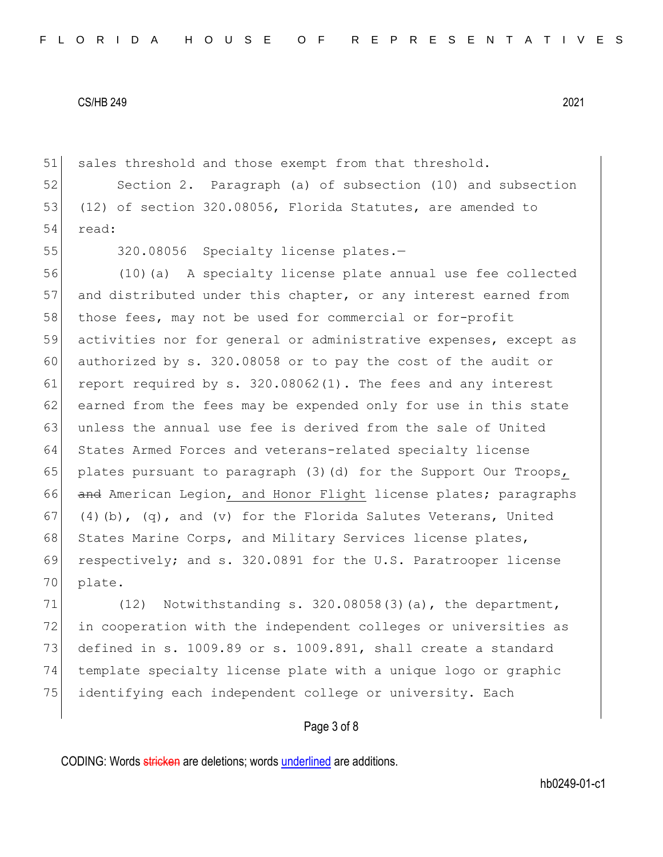51 sales threshold and those exempt from that threshold.

52 Section 2. Paragraph (a) of subsection (10) and subsection 53 (12) of section 320.08056, Florida Statutes, are amended to 54 read:

55 320.08056 Specialty license plates.-

56 (10)(a) A specialty license plate annual use fee collected 57 and distributed under this chapter, or any interest earned from 58 those fees, may not be used for commercial or for-profit 59 activities nor for general or administrative expenses, except as 60 authorized by s. 320.08058 or to pay the cost of the audit or 61 report required by s.  $320.08062(1)$ . The fees and any interest 62 earned from the fees may be expended only for use in this state 63 unless the annual use fee is derived from the sale of United 64 States Armed Forces and veterans-related specialty license 65 plates pursuant to paragraph  $(3)$   $(d)$  for the Support Our Troops, 66 and American Legion, and Honor Flight license plates; paragraphs 67 (4)(b), (q), and (v) for the Florida Salutes Veterans, United 68 States Marine Corps, and Military Services license plates, 69 respectively; and s. 320.0891 for the U.S. Paratrooper license 70 plate.

 $(12)$  Notwithstanding s. 320.08058(3)(a), the department, 72 in cooperation with the independent colleges or universities as defined in s. 1009.89 or s. 1009.891, shall create a standard template specialty license plate with a unique logo or graphic identifying each independent college or university. Each

## Page 3 of 8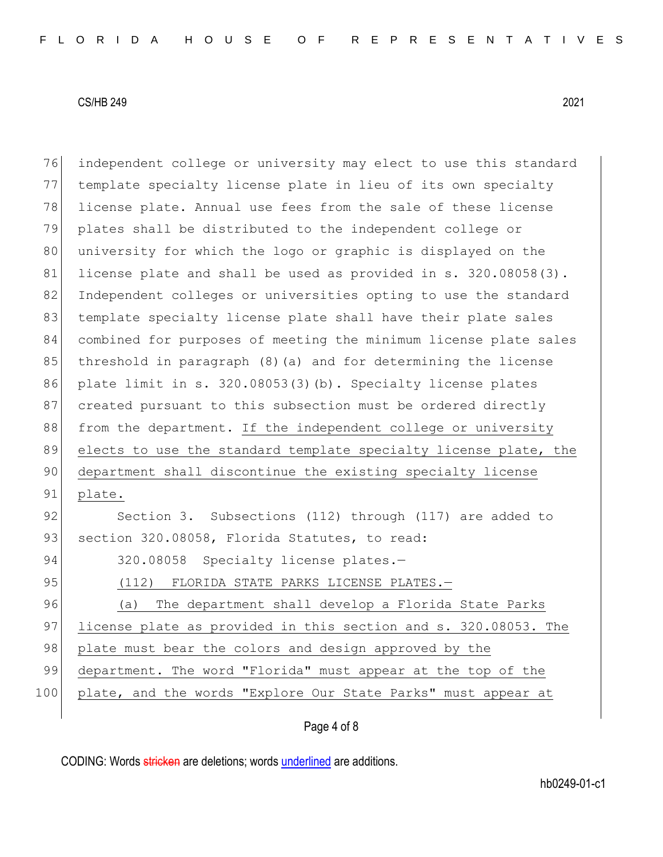| 76  | independent college or university may elect to use this standard |
|-----|------------------------------------------------------------------|
| 77  | template specialty license plate in lieu of its own specialty    |
| 78  | license plate. Annual use fees from the sale of these license    |
| 79  | plates shall be distributed to the independent college or        |
| 80  | university for which the logo or graphic is displayed on the     |
| 81  | license plate and shall be used as provided in s. 320.08058(3).  |
| 82  | Independent colleges or universities opting to use the standard  |
| 83  | template specialty license plate shall have their plate sales    |
| 84  | combined for purposes of meeting the minimum license plate sales |
| 85  | threshold in paragraph (8) (a) and for determining the license   |
| 86  | plate limit in s. 320.08053(3)(b). Specialty license plates      |
| 87  | created pursuant to this subsection must be ordered directly     |
| 88  | from the department. If the independent college or university    |
|     |                                                                  |
| 89  | elects to use the standard template specialty license plate, the |
| 90  | department shall discontinue the existing specialty license      |
| 91  | plate.                                                           |
| 92  | Section 3. Subsections (112) through (117) are added to          |
| 93  | section 320.08058, Florida Statutes, to read:                    |
| 94  | 320.08058 Specialty license plates.-                             |
| 95  | (112) FLORIDA STATE PARKS LICENSE PLATES.-                       |
| 96  | The department shall develop a Florida State Parks<br>(a)        |
| 97  | license plate as provided in this section and s. 320.08053. The  |
| 98  | plate must bear the colors and design approved by the            |
| 99  | department. The word "Florida" must appear at the top of the     |
| 100 | plate, and the words "Explore Our State Parks" must appear at    |

# Page 4 of 8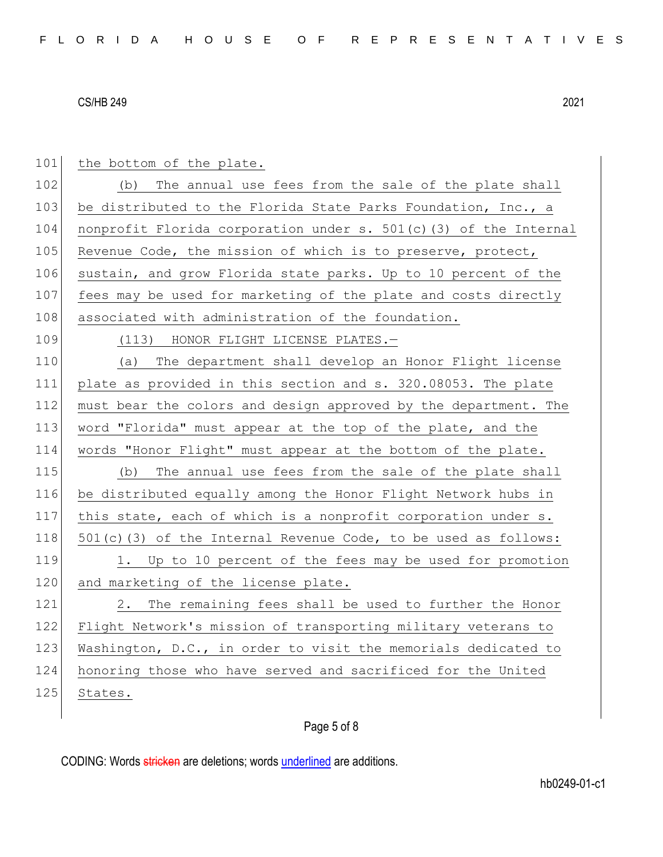| 101 | the bottom of the plate.                                          |
|-----|-------------------------------------------------------------------|
| 102 | The annual use fees from the sale of the plate shall<br>(b)       |
| 103 | be distributed to the Florida State Parks Foundation, Inc., a     |
| 104 | nonprofit Florida corporation under s. 501(c)(3) of the Internal  |
| 105 | Revenue Code, the mission of which is to preserve, protect,       |
| 106 | sustain, and grow Florida state parks. Up to 10 percent of the    |
| 107 | fees may be used for marketing of the plate and costs directly    |
| 108 | associated with administration of the foundation.                 |
| 109 | (113) HONOR FLIGHT LICENSE PLATES.-                               |
| 110 | The department shall develop an Honor Flight license<br>(a)       |
| 111 | plate as provided in this section and s. 320.08053. The plate     |
| 112 | must bear the colors and design approved by the department. The   |
| 113 | word "Florida" must appear at the top of the plate, and the       |
| 114 | words "Honor Flight" must appear at the bottom of the plate.      |
| 115 | The annual use fees from the sale of the plate shall<br>(b)       |
| 116 | be distributed equally among the Honor Flight Network hubs in     |
| 117 | this state, each of which is a nonprofit corporation under s.     |
| 118 | $501(c)$ (3) of the Internal Revenue Code, to be used as follows: |
| 119 | 1. Up to 10 percent of the fees may be used for promotion         |
| 120 | and marketing of the license plate.                               |
| 121 | The remaining fees shall be used to further the Honor<br>2.       |
| 122 | Flight Network's mission of transporting military veterans to     |
| 123 | Washington, D.C., in order to visit the memorials dedicated to    |
| 124 | honoring those who have served and sacrificed for the United      |
| 125 | States.                                                           |

# Page 5 of 8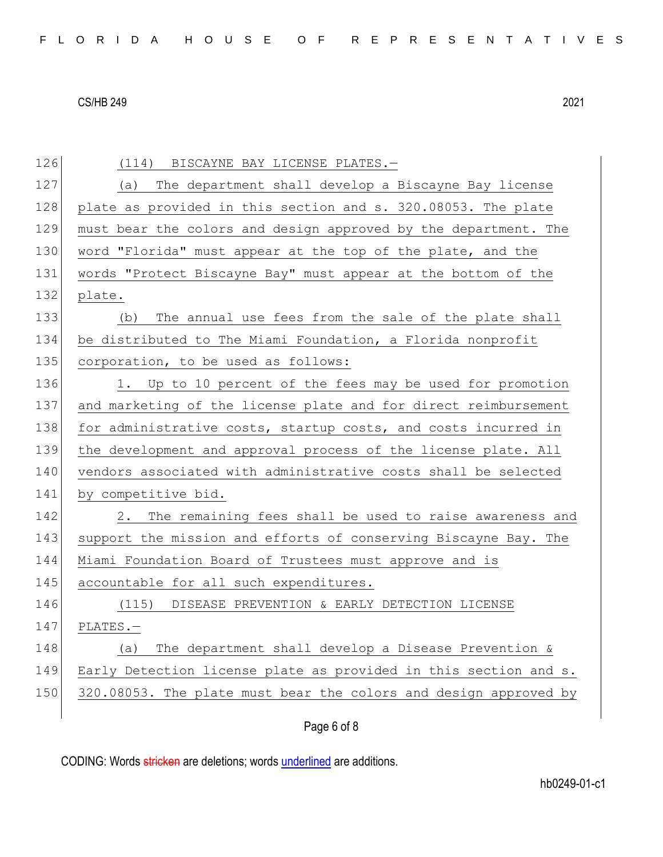Page 6 of 8 126 (114) BISCAYNE BAY LICENSE PLATES.-127 (a) The department shall develop a Biscayne Bay license 128 plate as provided in this section and s. 320.08053. The plate 129 must bear the colors and design approved by the department. The 130 word "Florida" must appear at the top of the plate, and the 131 words "Protect Biscayne Bay" must appear at the bottom of the 132 plate. 133 (b) The annual use fees from the sale of the plate shall 134 be distributed to The Miami Foundation, a Florida nonprofit 135 corporation, to be used as follows: 136 1. Up to 10 percent of the fees may be used for promotion 137 and marketing of the license plate and for direct reimbursement 138 for administrative costs, startup costs, and costs incurred in 139 the development and approval process of the license plate. All 140 vendors associated with administrative costs shall be selected 141 by competitive bid. 142 2. The remaining fees shall be used to raise awareness and 143 support the mission and efforts of conserving Biscayne Bay. The 144 Miami Foundation Board of Trustees must approve and is 145 accountable for all such expenditures. 146 (115) DISEASE PREVENTION & EARLY DETECTION LICENSE 147 PLATES.— 148 (a) The department shall develop a Disease Prevention & 149 Early Detection license plate as provided in this section and s. 150 320.08053. The plate must bear the colors and design approved by

CODING: Words stricken are deletions; words underlined are additions.

hb0249-01-c1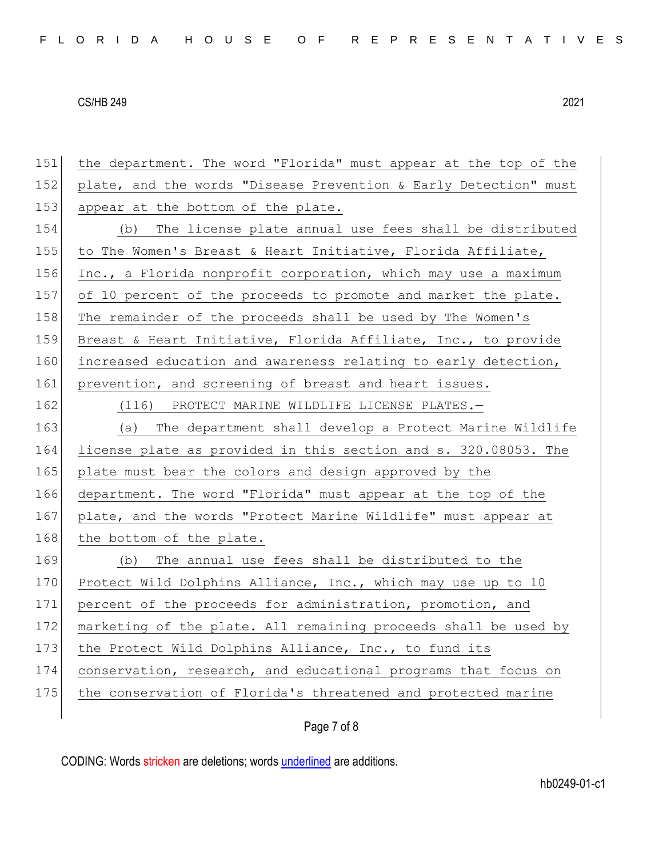| 151 | the department. The word "Florida" must appear at the top of the |
|-----|------------------------------------------------------------------|
| 152 | plate, and the words "Disease Prevention & Early Detection" must |
| 153 | appear at the bottom of the plate.                               |
| 154 | The license plate annual use fees shall be distributed<br>(b)    |
| 155 | to The Women's Breast & Heart Initiative, Florida Affiliate,     |
| 156 | Inc., a Florida nonprofit corporation, which may use a maximum   |
| 157 | of 10 percent of the proceeds to promote and market the plate.   |
| 158 | The remainder of the proceeds shall be used by The Women's       |
| 159 | Breast & Heart Initiative, Florida Affiliate, Inc., to provide   |
| 160 | increased education and awareness relating to early detection,   |
| 161 | prevention, and screening of breast and heart issues.            |
| 162 | (116) PROTECT MARINE WILDLIFE LICENSE PLATES.-                   |
| 163 | The department shall develop a Protect Marine Wildlife<br>(a)    |
| 164 | license plate as provided in this section and s. 320.08053. The  |
| 165 | plate must bear the colors and design approved by the            |
| 166 | department. The word "Florida" must appear at the top of the     |
| 167 | plate, and the words "Protect Marine Wildlife" must appear at    |
| 168 | the bottom of the plate.                                         |
| 169 | The annual use fees shall be distributed to the<br>(b)           |
| 170 | Protect Wild Dolphins Alliance, Inc., which may use up to 10     |
| 171 | percent of the proceeds for administration, promotion, and       |
| 172 | marketing of the plate. All remaining proceeds shall be used by  |
| 173 | the Protect Wild Dolphins Alliance, Inc., to fund its            |
| 174 | conservation, research, and educational programs that focus on   |
| 175 | the conservation of Florida's threatened and protected marine    |
|     |                                                                  |

# Page 7 of 8